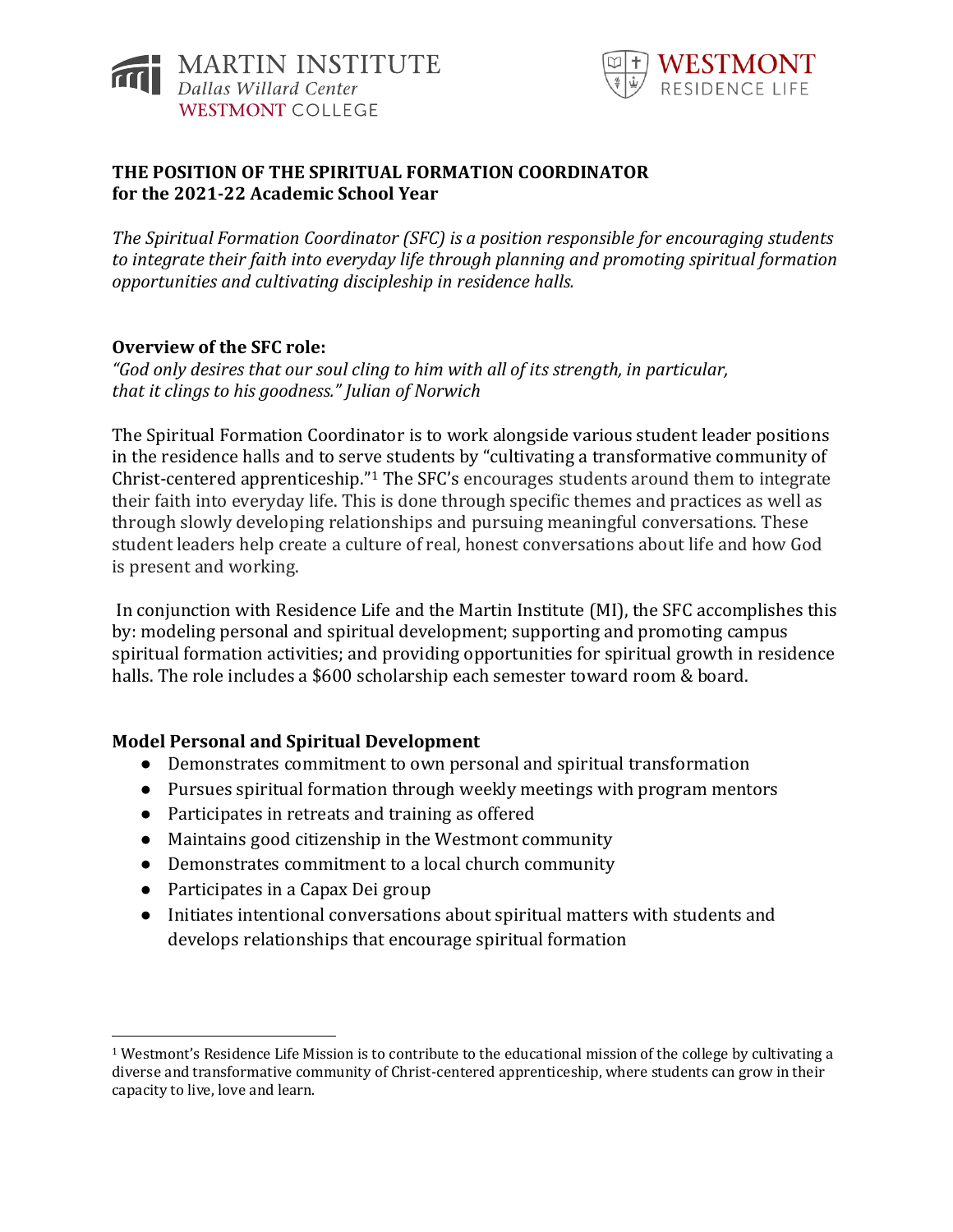



## **THE POSITION OF THE SPIRITUAL FORMATION COORDINATOR for the 2021-22 Academic School Year**

*The Spiritual Formation Coordinator (SFC) is a position responsible for encouraging students to integrate their faith into everyday life through planning and promoting spiritual formation opportunities and cultivating discipleship in residence halls.*

## **Overview of the SFC role:**

*"God only desires that our soul cling to him with all of its strength, in particular, that it clings to his goodness." Julian of Norwich*

The Spiritual Formation Coordinator is to work alongside various student leader positions in the residence halls and to serve students by "cultivating a transformative community of Christ-centered apprenticeship."<sup>1</sup> The SFC's encourages students around them to integrate their faith into everyday life. This is done through specific themes and practices as well as through slowly developing relationships and pursuing meaningful conversations. These student leaders help create a culture of real, honest conversations about life and how God is present and working.

In conjunction with Residence Life and the Martin Institute (MI), the SFC accomplishes this by: modeling personal and spiritual development; supporting and promoting campus spiritual formation activities; and providing opportunities for spiritual growth in residence halls. The role includes a \$600 scholarship each semester toward room & board.

## **Model Personal and Spiritual Development**

- Demonstrates commitment to own personal and spiritual transformation
- Pursues spiritual formation through weekly meetings with program mentors
- Participates in retreats and training as offered
- Maintains good citizenship in the Westmont community
- Demonstrates commitment to a local church community
- Participates in a Capax Dei group
- Initiates intentional conversations about spiritual matters with students and develops relationships that encourage spiritual formation

<sup>1</sup> Westmont's Residence Life Mission is to contribute to the educational mission of the college by cultivating a diverse and transformative community of Christ-centered apprenticeship, where students can grow in their capacity to live, love and learn.